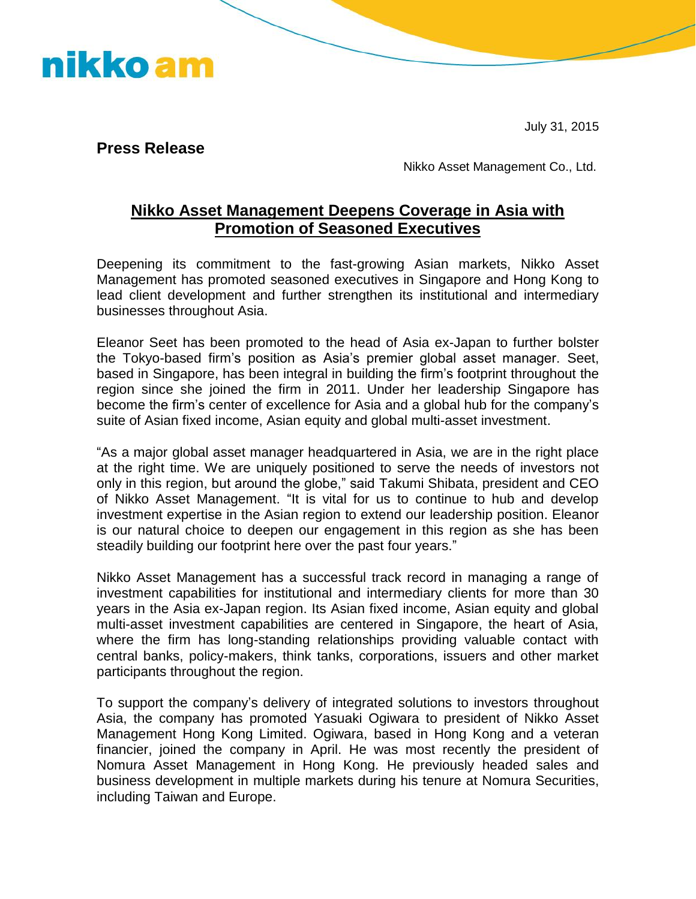nikko am

July 31, 2015

**Press Release** 

Nikko Asset Management Co., Ltd.

## **Nikko Asset Management Deepens Coverage in Asia with Promotion of Seasoned Executives**

Deepening its commitment to the fast-growing Asian markets, Nikko Asset Management has promoted seasoned executives in Singapore and Hong Kong to lead client development and further strengthen its institutional and intermediary businesses throughout Asia.

Eleanor Seet has been promoted to the head of Asia ex-Japan to further bolster the Tokyo-based firm's position as Asia's premier global asset manager. Seet, based in Singapore, has been integral in building the firm's footprint throughout the region since she joined the firm in 2011. Under her leadership Singapore has become the firm's center of excellence for Asia and a global hub for the company's suite of Asian fixed income, Asian equity and global multi-asset investment.

"As a major global asset manager headquartered in Asia, we are in the right place at the right time. We are uniquely positioned to serve the needs of investors not only in this region, but around the globe," said Takumi Shibata, president and CEO of Nikko Asset Management. "It is vital for us to continue to hub and develop investment expertise in the Asian region to extend our leadership position. Eleanor is our natural choice to deepen our engagement in this region as she has been steadily building our footprint here over the past four years."

Nikko Asset Management has a successful track record in managing a range of investment capabilities for institutional and intermediary clients for more than 30 years in the Asia ex-Japan region. Its Asian fixed income, Asian equity and global multi-asset investment capabilities are centered in Singapore, the heart of Asia, where the firm has long-standing relationships providing valuable contact with central banks, policy-makers, think tanks, corporations, issuers and other market participants throughout the region.

To support the company's delivery of integrated solutions to investors throughout Asia, the company has promoted Yasuaki Ogiwara to president of Nikko Asset Management Hong Kong Limited. Ogiwara, based in Hong Kong and a veteran financier, joined the company in April. He was most recently the president of Nomura Asset Management in Hong Kong. He previously headed sales and business development in multiple markets during his tenure at Nomura Securities, including Taiwan and Europe.